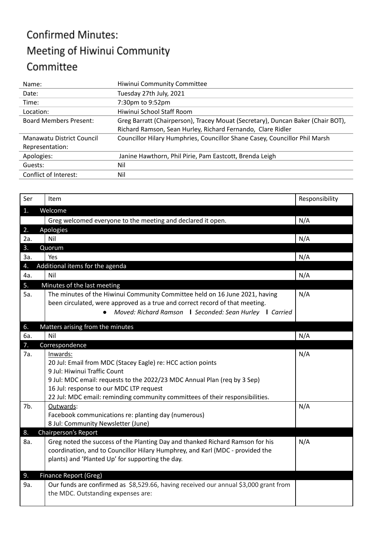## **Confirmed Minutes:** Meeting of Hiwinui Community Committee

| Name:                         | Hiwinui Community Committee                                                     |
|-------------------------------|---------------------------------------------------------------------------------|
| Date:                         | Tuesday 27th July, 2021                                                         |
| Time:                         | 7:30pm to 9:52pm                                                                |
| Location:                     | Hiwinui School Staff Room                                                       |
| <b>Board Members Present:</b> | Greg Barratt (Chairperson), Tracey Mouat (Secretary), Duncan Baker (Chair BOT), |
|                               | Richard Ramson, Sean Hurley, Richard Fernando, Clare Ridler                     |
| Manawatu District Council     | Councillor Hilary Humphries, Councillor Shane Casey, Councillor Phil Marsh      |
| Representation:               |                                                                                 |
| Apologies:                    | Janine Hawthorn, Phil Pirie, Pam Eastcott, Brenda Leigh                         |
| Guests:                       | Nil                                                                             |
| Conflict of Interest:         | Nil                                                                             |
|                               |                                                                                 |

| Ser | Item                                                                                      | Responsibility |
|-----|-------------------------------------------------------------------------------------------|----------------|
| 1.  | Welcome                                                                                   |                |
|     | Greg welcomed everyone to the meeting and declared it open.                               | N/A            |
| 2.  | Apologies                                                                                 |                |
| 2a. | Nil                                                                                       | N/A            |
| 3.  | Quorum                                                                                    |                |
| За. | Yes                                                                                       | N/A            |
| 4.  | Additional items for the agenda                                                           |                |
| 4a. | Nil                                                                                       | N/A            |
| 5.  | Minutes of the last meeting                                                               |                |
| 5a. | The minutes of the Hiwinui Community Committee held on 16 June 2021, having               | N/A            |
|     | been circulated, were approved as a true and correct record of that meeting.              |                |
|     | Moved: Richard Ramson   Seconded: Sean Hurley   Carried<br>$\bullet$                      |                |
| 6.  | Matters arising from the minutes                                                          |                |
| 6а. | Nil                                                                                       | N/A            |
| 7.  | Correspondence                                                                            |                |
| 7a. | Inwards:                                                                                  | N/A            |
|     | 20 Jul: Email from MDC (Stacey Eagle) re: HCC action points                               |                |
|     | 9 Jul: Hiwinui Traffic Count                                                              |                |
|     | 9 Jul: MDC email: requests to the 2022/23 MDC Annual Plan (req by 3 Sep)                  |                |
|     | 16 Jul: response to our MDC LTP request                                                   |                |
|     | 22 Jul: MDC email: reminding community committees of their responsibilities.              |                |
| 7b. | Outwards:                                                                                 | N/A            |
|     | Facebook communications re: planting day (numerous)<br>8 Jul: Community Newsletter (June) |                |
| 8.  | Chairperson's Report                                                                      |                |
| 8a. | Greg noted the success of the Planting Day and thanked Richard Ramson for his             | N/A            |
|     | coordination, and to Councillor Hilary Humphrey, and Karl (MDC - provided the             |                |
|     | plants) and 'Planted Up' for supporting the day.                                          |                |
|     |                                                                                           |                |
| 9.  | Finance Report (Greg)                                                                     |                |
| 9a. | Our funds are confirmed as \$8,529.66, having received our annual \$3,000 grant from      |                |
|     | the MDC. Outstanding expenses are:                                                        |                |
|     |                                                                                           |                |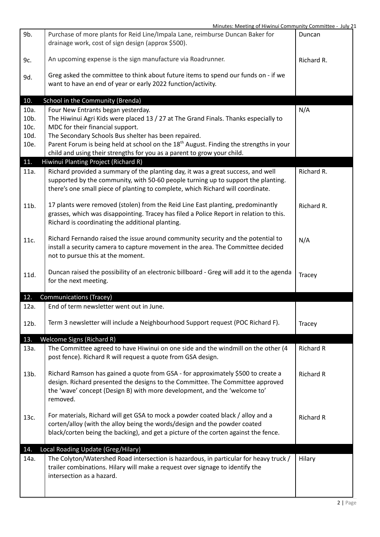| 9b.          | Purchase of more plants for Reid Line/Impala Lane, reimburse Duncan Baker for<br>drainage work, cost of sign design (approx \$500).                                                                                                                         | Duncan           |
|--------------|-------------------------------------------------------------------------------------------------------------------------------------------------------------------------------------------------------------------------------------------------------------|------------------|
| 9c.          | An upcoming expense is the sign manufacture via Roadrunner.                                                                                                                                                                                                 | Richard R.       |
| 9d.          | Greg asked the committee to think about future items to spend our funds on - if we<br>want to have an end of year or early 2022 function/activity.                                                                                                          |                  |
| 10.          | School in the Community (Brenda)                                                                                                                                                                                                                            |                  |
| 10a.         | Four New Entrants began yesterday.                                                                                                                                                                                                                          | N/A              |
| 10b.         | The Hiwinui Agri Kids were placed 13 / 27 at The Grand Finals. Thanks especially to                                                                                                                                                                         |                  |
| 10c.         | MDC for their financial support.                                                                                                                                                                                                                            |                  |
| 10d.<br>10e. | The Secondary Schools Bus shelter has been repaired.<br>Parent Forum is being held at school on the 18 <sup>th</sup> August. Finding the strengths in your                                                                                                  |                  |
|              | child and using their strengths for you as a parent to grow your child.                                                                                                                                                                                     |                  |
| 11.          | Hiwinui Planting Project (Richard R)                                                                                                                                                                                                                        |                  |
| 11a.         | Richard provided a summary of the planting day, it was a great success, and well<br>supported by the community, with 50-60 people turning up to support the planting.<br>there's one small piece of planting to complete, which Richard will coordinate.    | Richard R.       |
| 11b.         | 17 plants were removed (stolen) from the Reid Line East planting, predominantly<br>grasses, which was disappointing. Tracey has filed a Police Report in relation to this.<br>Richard is coordinating the additional planting.                              | Richard R.       |
| 11c.         | Richard Fernando raised the issue around community security and the potential to<br>install a security camera to capture movement in the area. The Committee decided<br>not to pursue this at the moment.                                                   | N/A              |
| 11d.         | Duncan raised the possibility of an electronic billboard - Greg will add it to the agenda<br>for the next meeting.                                                                                                                                          | Tracey           |
| 12.          | <b>Communications (Tracey)</b>                                                                                                                                                                                                                              |                  |
| 12a.         | End of term newsletter went out in June.                                                                                                                                                                                                                    |                  |
| 12b.         | Term 3 newsletter will include a Neighbourhood Support request (POC Richard F).                                                                                                                                                                             | Tracey           |
| 13.          | <b>Welcome Signs (Richard R)</b>                                                                                                                                                                                                                            |                  |
| 13a.         | The Committee agreed to have Hiwinui on one side and the windmill on the other (4<br>post fence). Richard R will request a quote from GSA design.                                                                                                           | <b>Richard R</b> |
| 13b.         | Richard Ramson has gained a quote from GSA - for approximately \$500 to create a<br>design. Richard presented the designs to the Committee. The Committee approved<br>the 'wave' concept (Design B) with more development, and the 'welcome to'<br>removed. | <b>Richard R</b> |
| 13c.         | For materials, Richard will get GSA to mock a powder coated black / alloy and a<br>corten/alloy (with the alloy being the words/design and the powder coated<br>black/corten being the backing), and get a picture of the corten against the fence.         | <b>Richard R</b> |
| 14.          | Local Roading Update (Greg/Hilary)                                                                                                                                                                                                                          |                  |
| 14a.         | The Colyton/Watershed Road intersection is hazardous, in particular for heavy truck /<br>trailer combinations. Hilary will make a request over signage to identify the<br>intersection as a hazard.                                                         | Hilary           |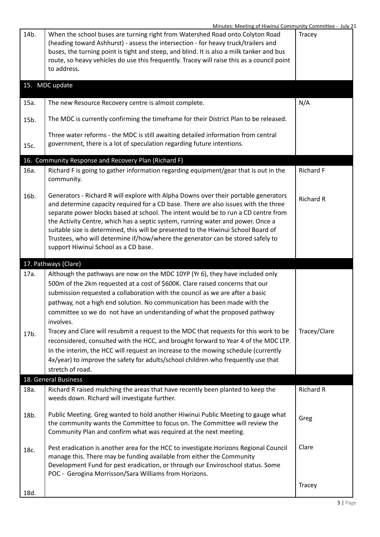|      | <u>Minutes. Meeting of Hiwinui Community Committee - July 2</u>                                                                                                                                                                                                                                                                                                                                                                                                                                                                                                      |                  |
|------|----------------------------------------------------------------------------------------------------------------------------------------------------------------------------------------------------------------------------------------------------------------------------------------------------------------------------------------------------------------------------------------------------------------------------------------------------------------------------------------------------------------------------------------------------------------------|------------------|
| 14b. | When the school buses are turning right from Watershed Road onto Colyton Road<br>(heading toward Ashhurst) - assess the intersection - for heavy truck/trailers and<br>buses, the turning point is tight and steep, and blind. It is also a milk tanker and bus<br>route, so heavy vehicles do use this frequently. Tracey will raise this as a council point<br>to address.                                                                                                                                                                                         | <b>Tracey</b>    |
|      | 15. MDC update                                                                                                                                                                                                                                                                                                                                                                                                                                                                                                                                                       |                  |
| 15a. | The new Resource Recovery centre is almost complete.                                                                                                                                                                                                                                                                                                                                                                                                                                                                                                                 | N/A              |
| 15b. | The MDC is currently confirming the timeframe for their District Plan to be released.                                                                                                                                                                                                                                                                                                                                                                                                                                                                                |                  |
| 15c. | Three water reforms - the MDC is still awaiting detailed information from central<br>government, there is a lot of speculation regarding future intentions.                                                                                                                                                                                                                                                                                                                                                                                                          |                  |
|      | 16. Community Response and Recovery Plan (Richard F)                                                                                                                                                                                                                                                                                                                                                                                                                                                                                                                 |                  |
| 16a. | Richard F is going to gather information regarding equipment/gear that is out in the<br>community.                                                                                                                                                                                                                                                                                                                                                                                                                                                                   | Richard F        |
| 16b. | Generators - Richard R will explore with Alpha Downs over their portable generators<br>and determine capacity required for a CD base. There are also issues with the three<br>separate power blocks based at school. The intent would be to run a CD centre from<br>the Activity Centre, which has a septic system, running water and power. Once a<br>suitable size is determined, this will be presented to the Hiwinui School Board of<br>Trustees, who will determine if/how/where the generator can be stored safely to<br>support Hiwinui School as a CD base. | <b>Richard R</b> |
|      | 17. Pathways (Clare)                                                                                                                                                                                                                                                                                                                                                                                                                                                                                                                                                 |                  |
| 17a. | Although the pathways are now on the MDC 10YP (Yr 6), they have included only<br>500m of the 2km requested at a cost of \$600K. Clare raised concerns that our<br>submission requested a collaboration with the council as we are after a basic<br>pathway, not a high end solution. No communication has been made with the<br>committee so we do not have an understanding of what the proposed pathway<br>involves.                                                                                                                                               |                  |
| 17b. | Tracey and Clare will resubmit a request to the MDC that requests for this work to be<br>reconsidered, consulted with the HCC, and brought forward to Year 4 of the MDC LTP.<br>In the interim, the HCC will request an increase to the mowing schedule (currently<br>4x/year) to improve the safety for adults/school children who frequently use that<br>stretch of road.                                                                                                                                                                                          | Tracey/Clare     |
|      | 18. General Business                                                                                                                                                                                                                                                                                                                                                                                                                                                                                                                                                 |                  |
| 18a. | Richard R raised mulching the areas that have recently been planted to keep the<br>weeds down. Richard will investigate further.                                                                                                                                                                                                                                                                                                                                                                                                                                     | <b>Richard R</b> |
| 18b. | Public Meeting. Greg wanted to hold another Hiwinui Public Meeting to gauge what<br>the community wants the Committee to focus on. The Committee will review the<br>Community Plan and confirm what was required at the next meeting.                                                                                                                                                                                                                                                                                                                                | Greg             |
| 18c. | Pest eradication is another area for the HCC to investigate. Horizons Regional Council<br>manage this. There may be funding available from either the Community<br>Development Fund for pest eradication, or through our Enviroschool status. Some<br>POC - Gerogina Morrisson/Sara Williams from Horizons.                                                                                                                                                                                                                                                          | Clare            |
| 18d. |                                                                                                                                                                                                                                                                                                                                                                                                                                                                                                                                                                      | Tracey           |
|      |                                                                                                                                                                                                                                                                                                                                                                                                                                                                                                                                                                      |                  |